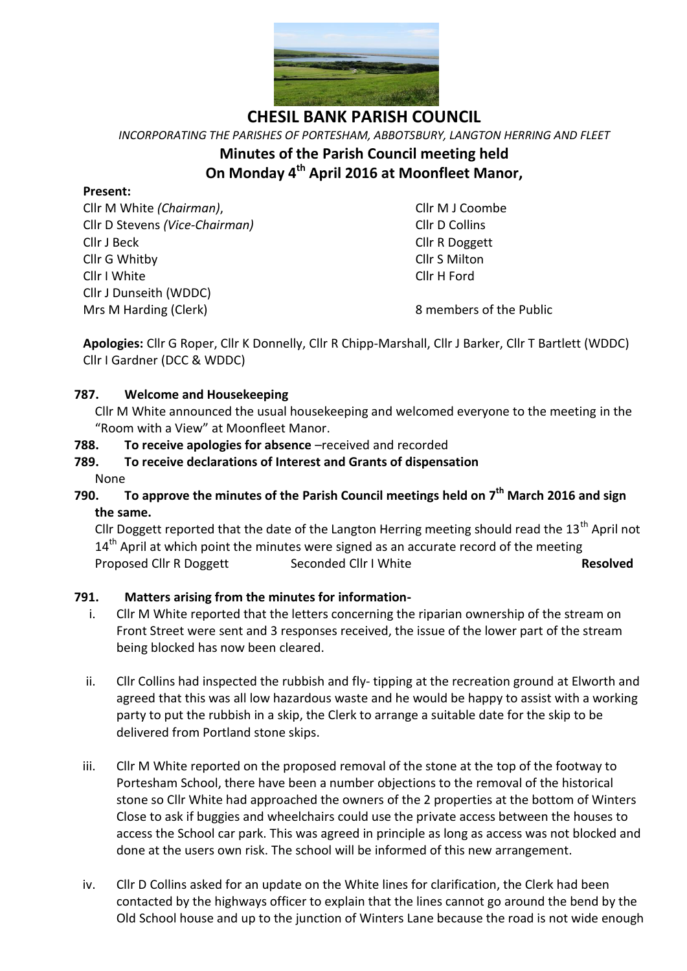

*INCORPORATING THE PARISHES OF PORTESHAM, ABBOTSBURY, LANGTON HERRING AND FLEET* **Minutes of the Parish Council meeting held On Monday 4 th April 2016 at Moonfleet Manor,**

#### **Present:**

Cllr M White *(Chairman)*, Cllr M J Coombe Cllr D Stevens *(Vice-Chairman)* Cllr D Collins Cllr J Beck Cllr R Doggett Cllr G Whitby Cllr S Milton Cllr I White Cllr H Ford Cllr J Dunseith (WDDC) Mrs M Harding (Clerk) 8 members of the Public

**Apologies:** Cllr G Roper, Cllr K Donnelly, Cllr R Chipp-Marshall, Cllr J Barker, Cllr T Bartlett (WDDC) Cllr I Gardner (DCC & WDDC)

### **787. Welcome and Housekeeping**

Cllr M White announced the usual housekeeping and welcomed everyone to the meeting in the "Room with a View" at Moonfleet Manor.

### **788. To receive apologies for absence** –received and recorded

## **789. To receive declarations of Interest and Grants of dispensation**

- None
- **790. To approve the minutes of the Parish Council meetings held on 7 th March 2016 and sign the same.**

Cllr Doggett reported that the date of the Langton Herring meeting should read the  $13<sup>th</sup>$  April not  $14<sup>th</sup>$  April at which point the minutes were signed as an accurate record of the meeting Proposed Cllr R Doggett Seconded Cllr I White **Resolved**

### **791. Matters arising from the minutes for information-**

- i. Cllr M White reported that the letters concerning the riparian ownership of the stream on Front Street were sent and 3 responses received, the issue of the lower part of the stream being blocked has now been cleared.
- ii. Cllr Collins had inspected the rubbish and fly- tipping at the recreation ground at Elworth and agreed that this was all low hazardous waste and he would be happy to assist with a working party to put the rubbish in a skip, the Clerk to arrange a suitable date for the skip to be delivered from Portland stone skips.
- iii. Cllr M White reported on the proposed removal of the stone at the top of the footway to Portesham School, there have been a number objections to the removal of the historical stone so Cllr White had approached the owners of the 2 properties at the bottom of Winters Close to ask if buggies and wheelchairs could use the private access between the houses to access the School car park. This was agreed in principle as long as access was not blocked and done at the users own risk. The school will be informed of this new arrangement.
- iv. Cllr D Collins asked for an update on the White lines for clarification, the Clerk had been contacted by the highways officer to explain that the lines cannot go around the bend by the Old School house and up to the junction of Winters Lane because the road is not wide enough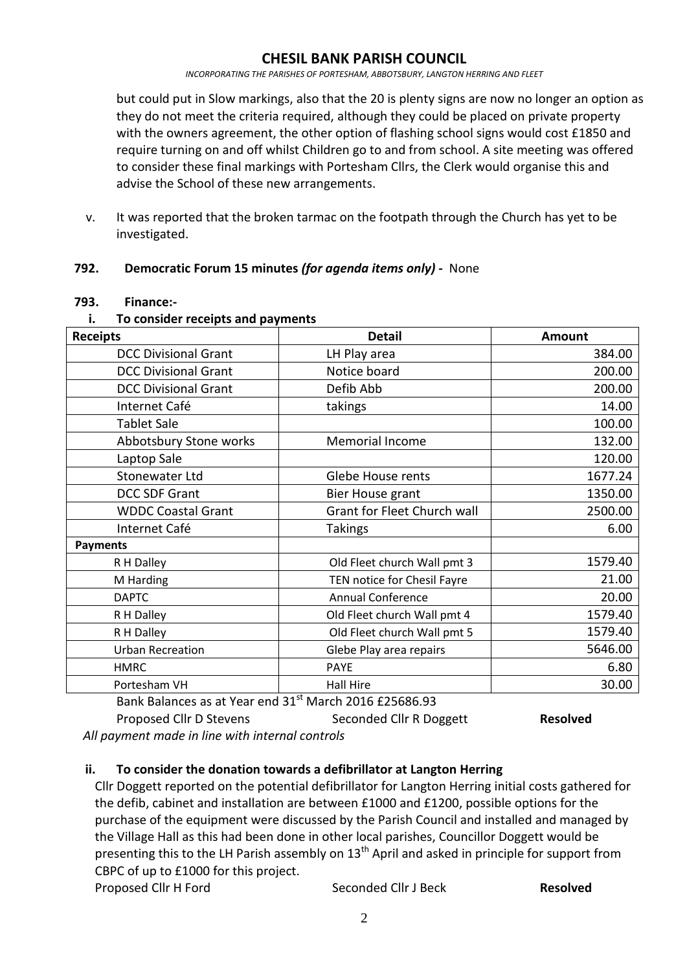*INCORPORATING THE PARISHES OF PORTESHAM, ABBOTSBURY, LANGTON HERRING AND FLEET*

but could put in Slow markings, also that the 20 is plenty signs are now no longer an option as they do not meet the criteria required, although they could be placed on private property with the owners agreement, the other option of flashing school signs would cost £1850 and require turning on and off whilst Children go to and from school. A site meeting was offered to consider these final markings with Portesham Cllrs, the Clerk would organise this and advise the School of these new arrangements.

v. It was reported that the broken tarmac on the footpath through the Church has yet to be investigated.

### **792. Democratic Forum 15 minutes** *(for agenda items only)* **-** None

#### **793. Finance:-**

#### **i. To consider receipts and payments**

| <b>Receipts</b>             | <b>Detail</b>               | <b>Amount</b> |
|-----------------------------|-----------------------------|---------------|
| <b>DCC Divisional Grant</b> | LH Play area                | 384.00        |
| <b>DCC Divisional Grant</b> | Notice board                | 200.00        |
| <b>DCC Divisional Grant</b> | Defib Abb                   | 200.00        |
| Internet Café               | takings                     | 14.00         |
| <b>Tablet Sale</b>          |                             | 100.00        |
| Abbotsbury Stone works      | <b>Memorial Income</b>      | 132.00        |
| Laptop Sale                 |                             | 120.00        |
| <b>Stonewater Ltd</b>       | Glebe House rents           | 1677.24       |
| <b>DCC SDF Grant</b>        | Bier House grant            | 1350.00       |
| <b>WDDC Coastal Grant</b>   | Grant for Fleet Church wall | 2500.00       |
| Internet Café               | <b>Takings</b>              | 6.00          |
| <b>Payments</b>             |                             |               |
| R H Dalley                  | Old Fleet church Wall pmt 3 | 1579.40       |
| M Harding                   | TEN notice for Chesil Fayre | 21.00         |
| <b>DAPTC</b>                | <b>Annual Conference</b>    | 20.00         |
| R H Dalley                  | Old Fleet church Wall pmt 4 | 1579.40       |
| R H Dalley                  | Old Fleet church Wall pmt 5 | 1579.40       |
| <b>Urban Recreation</b>     | Glebe Play area repairs     | 5646.00       |
| <b>HMRC</b>                 | <b>PAYE</b>                 | 6.80          |
| Portesham VH                | <b>Hall Hire</b>            | 30.00         |

Bank Balances as at Year end 31<sup>st</sup> March 2016 £25686.93 Proposed Cllr D Stevens Seconded Cllr R Doggett **Resolved** 

*All payment made in line with internal controls*

### **ii. To consider the donation towards a defibrillator at Langton Herring**

Cllr Doggett reported on the potential defibrillator for Langton Herring initial costs gathered for the defib, cabinet and installation are between £1000 and £1200, possible options for the purchase of the equipment were discussed by the Parish Council and installed and managed by the Village Hall as this had been done in other local parishes, Councillor Doggett would be presenting this to the LH Parish assembly on  $13<sup>th</sup>$  April and asked in principle for support from CBPC of up to £1000 for this project.

Proposed Cllr H Ford Seconded Cllr J Beck **Resolved**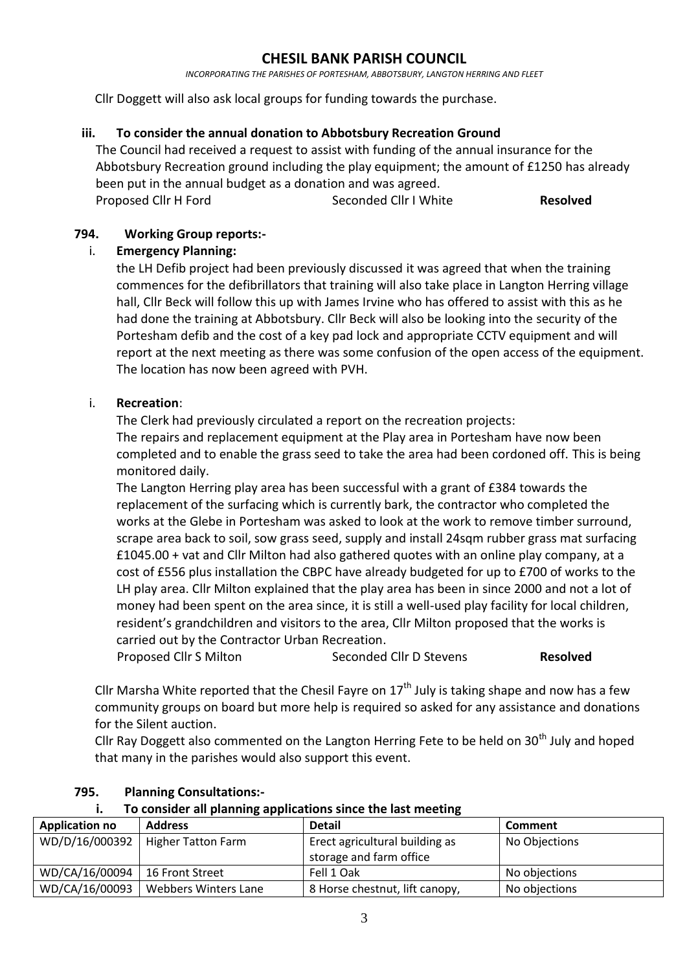*INCORPORATING THE PARISHES OF PORTESHAM, ABBOTSBURY, LANGTON HERRING AND FLEET*

Cllr Doggett will also ask local groups for funding towards the purchase.

#### **iii. To consider the annual donation to Abbotsbury Recreation Ground**

The Council had received a request to assist with funding of the annual insurance for the Abbotsbury Recreation ground including the play equipment; the amount of £1250 has already been put in the annual budget as a donation and was agreed. Proposed Cllr H Ford Seconded Cllr I White **Resolved**

**794. Working Group reports:-**

### i. **Emergency Planning:**

the LH Defib project had been previously discussed it was agreed that when the training commences for the defibrillators that training will also take place in Langton Herring village hall, Cllr Beck will follow this up with James Irvine who has offered to assist with this as he had done the training at Abbotsbury. Cllr Beck will also be looking into the security of the Portesham defib and the cost of a key pad lock and appropriate CCTV equipment and will report at the next meeting as there was some confusion of the open access of the equipment. The location has now been agreed with PVH.

### i. **Recreation**:

The Clerk had previously circulated a report on the recreation projects:

The repairs and replacement equipment at the Play area in Portesham have now been completed and to enable the grass seed to take the area had been cordoned off. This is being monitored daily.

The Langton Herring play area has been successful with a grant of £384 towards the replacement of the surfacing which is currently bark, the contractor who completed the works at the Glebe in Portesham was asked to look at the work to remove timber surround, scrape area back to soil, sow grass seed, supply and install 24sqm rubber grass mat surfacing £1045.00 + vat and Cllr Milton had also gathered quotes with an online play company, at a cost of £556 plus installation the CBPC have already budgeted for up to £700 of works to the LH play area. Cllr Milton explained that the play area has been in since 2000 and not a lot of money had been spent on the area since, it is still a well-used play facility for local children, resident's grandchildren and visitors to the area, Cllr Milton proposed that the works is carried out by the Contractor Urban Recreation.

Proposed Cllr S Milton Seconded Cllr D Stevens **Resolved** 

Cllr Marsha White reported that the Chesil Fayre on  $17<sup>th</sup>$  July is taking shape and now has a few community groups on board but more help is required so asked for any assistance and donations for the Silent auction.

Cllr Ray Doggett also commented on the Langton Herring Fete to be held on  $30<sup>th</sup>$  July and hoped that many in the parishes would also support this event.

| . .<br>TO consider an planning applications since the last incetuing |                           |                                |                |  |
|----------------------------------------------------------------------|---------------------------|--------------------------------|----------------|--|
| <b>Application no</b>                                                | <b>Address</b>            | <b>Detail</b>                  | <b>Comment</b> |  |
| WD/D/16/000392                                                       | <b>Higher Tatton Farm</b> | Erect agricultural building as | No Objections  |  |
|                                                                      |                           | storage and farm office        |                |  |
| WD/CA/16/00094                                                       | 16 Front Street           | Fell 1 Oak                     | No objections  |  |
| WD/CA/16/00093                                                       | Webbers Winters Lane      | 8 Horse chestnut, lift canopy, | No objections  |  |

#### **795. Planning Consultations:-**

**i. To consider all planning applications since the last meeting**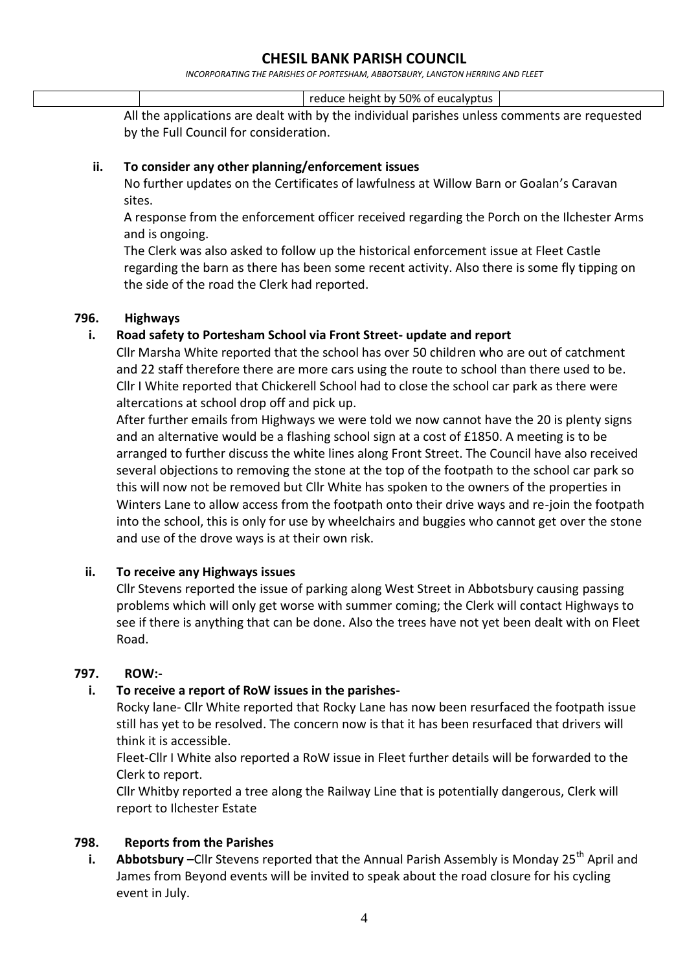*INCORPORATING THE PARISHES OF PORTESHAM, ABBOTSBURY, LANGTON HERRING AND FLEET*

reduce height by 50% of eucalyptus

All the applications are dealt with by the individual parishes unless comments are requested by the Full Council for consideration.

#### **ii. To consider any other planning/enforcement issues**

No further updates on the Certificates of lawfulness at Willow Barn or Goalan's Caravan sites.

A response from the enforcement officer received regarding the Porch on the Ilchester Arms and is ongoing.

The Clerk was also asked to follow up the historical enforcement issue at Fleet Castle regarding the barn as there has been some recent activity. Also there is some fly tipping on the side of the road the Clerk had reported.

### **796. Highways**

### **i. Road safety to Portesham School via Front Street- update and report**

Cllr Marsha White reported that the school has over 50 children who are out of catchment and 22 staff therefore there are more cars using the route to school than there used to be. Cllr I White reported that Chickerell School had to close the school car park as there were altercations at school drop off and pick up.

After further emails from Highways we were told we now cannot have the 20 is plenty signs and an alternative would be a flashing school sign at a cost of £1850. A meeting is to be arranged to further discuss the white lines along Front Street. The Council have also received several objections to removing the stone at the top of the footpath to the school car park so this will now not be removed but Cllr White has spoken to the owners of the properties in Winters Lane to allow access from the footpath onto their drive ways and re-join the footpath into the school, this is only for use by wheelchairs and buggies who cannot get over the stone and use of the drove ways is at their own risk.

### **ii. To receive any Highways issues**

Cllr Stevens reported the issue of parking along West Street in Abbotsbury causing passing problems which will only get worse with summer coming; the Clerk will contact Highways to see if there is anything that can be done. Also the trees have not yet been dealt with on Fleet Road.

#### **797. ROW:-**

### **i. To receive a report of RoW issues in the parishes-**

Rocky lane- Cllr White reported that Rocky Lane has now been resurfaced the footpath issue still has yet to be resolved. The concern now is that it has been resurfaced that drivers will think it is accessible.

Fleet-Cllr I White also reported a RoW issue in Fleet further details will be forwarded to the Clerk to report.

Cllr Whitby reported a tree along the Railway Line that is potentially dangerous, Clerk will report to Ilchester Estate

### **798. Reports from the Parishes**

**i. Abbotsbury** –Cllr Stevens reported that the Annual Parish Assembly is Monday 25<sup>th</sup> April and James from Beyond events will be invited to speak about the road closure for his cycling event in July.